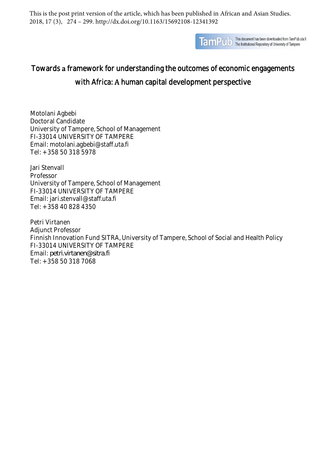This is the post print version of the article, which has been published in African and Asian Studies. 2018, 17 (3), 274 – 299. http://dx.doi.org/10.1163/15692108-12341392



# Towards a framework for understanding the outcomes of economic engagements with Africa:  $A$  human capital development perspective

Motolani Agbebi Doctoral Candidate University of Tampere, School of Management FI-33014 UNIVERSITY OF TAMPERE Email: motolani.agbebi@staff.uta.fi Tel: +358 50 318 5978

Jari Stenvall Professor University of Tampere, School of Management FI-33014 UNIVERSITY OF TAMPERE Email: jari.stenvall@staff.uta.fi Tel: +358 40 828 4350

Petri Virtanen Adjunct Professor Finnish Innovation Fund SITRA, University of Tampere, School of Social and Health Policy FI-33014 UNIVERSITY OF TAMPERE Email: petri.virtanen@sitra.fi Tel: +358 50 318 7068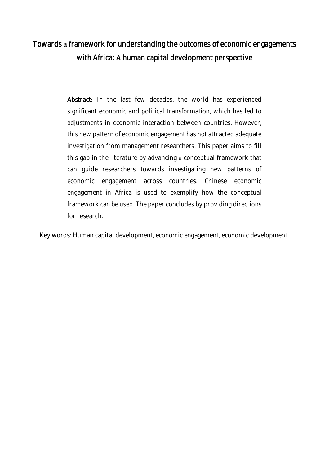# Towards a framework for understanding the outcomes of economic engagements with Africa:  $A$  human capital development perspective

Abstract: In the last few decades, the world has experienced significant economic and political transformation, which has led to adjustments in economic interaction between countries. However, this new pattern of economic engagement has not attracted adequate investigation from management researchers. This paper aims to fill this gap in the literature by advancing a conceptual framework that can guide researchers towards investigating new patterns of economic engagement across countries. Chinese economic engagement in Africa is used to exemplify how the conceptual framework can be used. The paper concludes by providing directions for research.

Key words: Human capital development, economic engagement, economic development.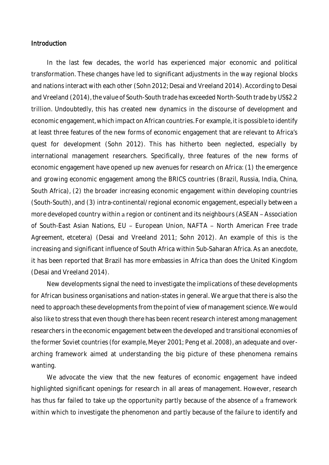### Introduction

In the last few decades, the world has experienced major economic and political transformation. These changes have led to significant adjustments in the way regional blocks and nations interact with each other (Sohn 2012; Desai and Vreeland 2014). According to Desai and Vreeland (2014), the value of South-South trade has exceeded North-South trade by US\$2.2 trillion. Undoubtedly, this has created new dynamics in the discourse of development and economic engagement, which impact on African countries. For example, it is possible to identify at least three features of the new forms of economic engagement that are relevant to Africa's quest for development (Sohn 2012). This has hitherto been neglected, especially by international management researchers. Specifically, three features of the new forms of economic engagement have opened up new avenues for research on Africa: (1) the emergence and growing economic engagement among the BRICS countries (Brazil, Russia, India, China, South Africa), (2) the broader increasing economic engagement within developing countries (South-South), and (3) intra-continental/regional economic engagement, especially between a more developed country within a region or continent and its neighbours (ASEAN – Association of South-East Asian Nations, EU - European Union, NAFTA - North American Free trade Agreement, etcetera) (Desai and Vreeland 2011; Sohn 2012). An example of this is the increasing and significant influence of South Africa within Sub-Saharan Africa. As an anecdote, it has been reported that Brazil has more embassies in Africa than does the United Kingdom (Desai and Vreeland 2014).

New developments signal the need to investigate the implications of these developments for African business organisations and nation-states in general. We argue that there is also the need to approach these developments from the point of view of management science. We would also like to stress that even though there has been recent research interest among management researchers in the economic engagement between the developed and transitional economies of the former Soviet countries (for example, Meyer 2001; Peng et al. 2008), an adequate and overarching framework aimed at understanding the big picture of these phenomena remains wanting.

We advocate the view that the new features of economic engagement have indeed highlighted significant openings for research in all areas of management. However, research has thus far failed to take up the opportunity partly because of the absence of a framework within which to investigate the phenomenon and partly because of the failure to identify and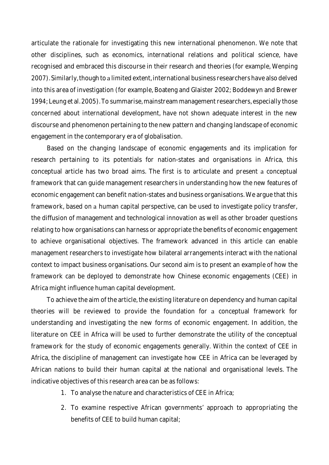articulate the rationale for investigating this new international phenomenon. We note that other disciplines, such as economics, international relations and political science, have recognised and embraced this discourse in their research and theories (for example, Wenping 2007). Similarly, though to a limited extent, international business researchers have also delved into this area of investigation (for example, Boateng and Glaister 2002; Boddewyn and Brewer 1994; Leung et al. 2005). To summarise, mainstream management researchers, especially those concerned about international development, have not shown adequate interest in the new discourse and phenomenon pertaining to the new pattern and changing landscape of economic engagement in the contemporary era of globalisation.

Based on the changing landscape of economic engagements and its implication for research pertaining to its potentials for nation-states and organisations in Africa, this conceptual article has two broad aims. The first is to articulate and present a conceptual framework that can guide management researchers in understanding how the new features of economic engagement can benefit nation-states and business organisations. We argue that this framework, based on  $a$  human capital perspective, can be used to investigate policy transfer, the diffusion of management and technological innovation as well as other broader questions relating to how organisations can harness or appropriate the benefits of economic engagement to achieve organisational objectives. The framework advanced in this article can enable management researchers to investigate how bilateral arrangements interact with the national context to impact business organisations. Our second aim is to present an example of how the framework can be deployed to demonstrate how Chinese economic engagements (CEE) in Africa might influence human capital development.

To achieve the aim of the article, the existing literature on dependency and human capital theories will be reviewed to provide the foundation for a conceptual framework for understanding and investigating the new forms of economic engagement. In addition, the literature on CEE in Africa will be used to further demonstrate the utility of the conceptual framework for the study of economic engagements generally. Within the context of CEE in Africa, the discipline of management can investigate how CEE in Africa can be leveraged by African nations to build their human capital at the national and organisational levels. The indicative objectives of this research area can be as follows:

- 1. To analyse the nature and characteristics of CEE in Africa;
- 2. To examine respective African governments' approach to appropriating the benefits of CEE to build human capital;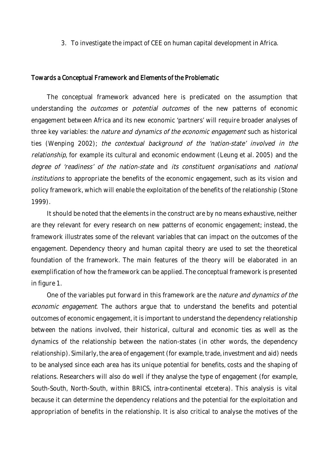3. To investigate the impact of CEE on human capital development in Africa.

### Towards a Conceptual Framework and Elements of the Problematic

The conceptual framework advanced here is predicated on the assumption that understanding the *outcomes* or *potential outcomes* of the new patterns of economic engagement between Africa and its new economic 'partners' will require broader analyses of three key variables: the *nature and dynamics of the economic engagement* such as historical ties (Wenping 2002); the contextual background of the 'nation-state' involved in the relationship for example its cultural and economic endowment (Leung et al. 2005) and the degree of 'readiness' of the nation-state and its constituent organisations and national institutions to appropriate the benefits of the economic engagement, such as its vision and policy framework, which will enable the exploitation of the benefits of the relationship (Stone 1999).

It should be noted that the elements in the construct are by no means exhaustive, neither are they relevant for every research on new patterns of economic engagement; instead, the framework illustrates some of the relevant variables that can impact on the outcomes of the engagement. Dependency theory and human capital theory are used to set the theoretical foundation of the framework. The main features of the theory will be elaborated in an exemplification of how the framework can be applied. The conceptual framework is presented in figure 1.

One of the variables put forward in this framework are the *nature and dynamics of the* economic engagement. The authors argue that to understand the benefits and potential outcomes of economic engagement, it is important to understand the dependency relationship between the nations involved, their historical, cultural and economic ties as well as the dynamics of the relationship between the nation-states (in other words, the dependency relationship). Similarly, the area of engagement (for example, trade, investment and aid) needs to be analysed since each area has its unique potential for benefits, costs and the shaping of relations. Researchers will also do well if they analyse the type of engagement (for example, South-South, North-South, within BRICS, intra-continental etcetera). This analysis is vital because it can determine the dependency relations and the potential for the exploitation and appropriation of benefits in the relationship. It is also critical to analyse the motives of the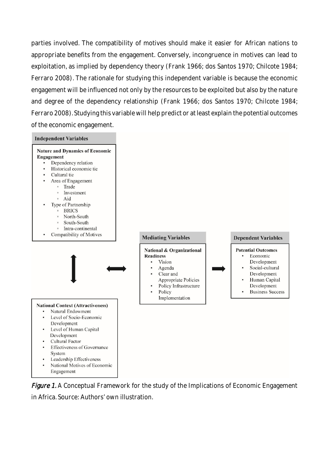parties involved. The compatibility of motives should make it easier for African nations to appropriate benefits from the engagement. Conversely, incongruence in motives can lead to exploitation, as implied by dependency theory (Frank 1966; dos Santos 1970; Chilcote 1984; Ferraro 2008). The rationale for studying this independent variable is because the economic engagement will be influenced not only by the resources to be exploited but also by the nature and degree of the dependency relationship (Frank 1966; dos Santos 1970; Chilcote 1984; Ferraro 2008).Studying this variable will help predict or atleast explain the potential outcomes of the economic engagement.



## **Figure 1.** A Conceptual Framework for the study of the Implications of Economic Engagement in Africa. Source: Authors' own illustration.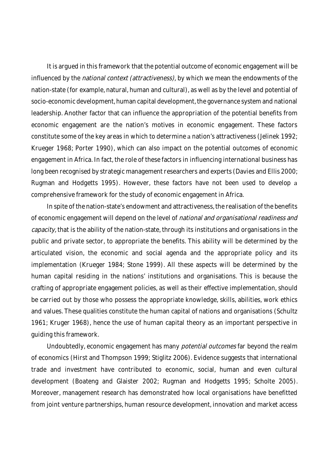It is argued in this framework that the potential outcome of economic engagement will be influenced by the *national context (attractiveness)*, by which we mean the endowments of the nation-state (for example, natural, human and cultural), as well as by the level and potential of socio-economic development, human capital development, the governance system and national leadership. Another factor that can influence the appropriation of the potential benefits from economic engagement are the nation's motives in economic engagement. These factors constitute some of the key areas in which to determine a nation's attractiveness (Jelinek 1992; Krueger 1968; Porter 1990), which can also impact on the potential outcomes of economic engagement in Africa. In fact, the role of these factors in influencing international business has long been recognised by strategic management researchers and experts (Davies and Ellis 2000; **Rugman and Hodgetts 1995). However, these factors have not been used to develop a** comprehensive framework for the study of economic engagement in Africa.

In spite of the nation-state's endowment and attractiveness, the realisation of the benefits of economic engagement will depend on the level of national and organisational readiness and capacity, that is the ability of the nation-state, through its institutions and organisations in the public and private sector, to appropriate the benefits. This ability will be determined by the articulated vision, the economic and social agenda and the appropriate policy and its implementation (Krueger 1984; Stone 1999). All these aspects will be determined by the human capital residing in the nations' institutions and organisations. This is because the crafting of appropriate engagement policies, as well as their effective implementation, should be carried out by those who possess the appropriate knowledge, skills, abilities, work ethics and values. These qualities constitute the human capital of nations and organisations (Schultz 1961; Kruger 1968), hence the use of human capital theory as an important perspective in guiding this framework.

Undoubtedly, economic engagement has many *potential outcomes* far beyond the realm of economics (Hirst and Thompson 1999; Stiglitz 2006). Evidence suggests that international trade and investment have contributed to economic, social, human and even cultural development (Boateng and Glaister 2002; Rugman and Hodgetts 1995; Scholte 2005). Moreover, management research has demonstrated how local organisations have benefitted from joint venture partnerships, human resource development, innovation and market access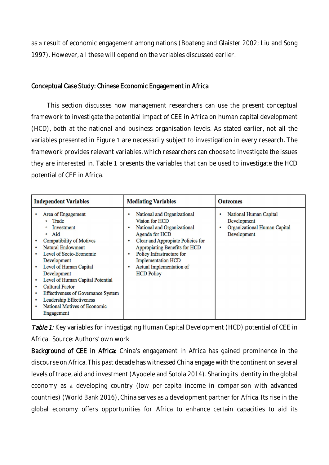as a result of economic engagement among nations (Boateng and Glaister 2002; Liu and Song 1997). However, all these will depend on the variables discussed earlier.

### Conceptual Case Study: Chinese Economic Engagement in Africa

This section discusses how management researchers can use the present conceptual framework to investigate the potential impact of CEE in Africa on human capital development (HCD), both at the national and business organisation levels. As stated earlier, not all the variables presented in Figure  $1$  are necessarily subject to investigation in every research. The framework provides relevant variables, which researchers can choose to investigate the issues they are interested in. Table 1 presents the variables that can be used to investigate the HCD potential of CEE in Africa.

| <b>Independent Variables</b>                                                                                                                                                                                                                                                                                                                                                                                                                                                                                                    | <b>Mediating Variables</b>                                                                                                                                                                                                                                                      | <b>Outcomes</b>                                                                      |
|---------------------------------------------------------------------------------------------------------------------------------------------------------------------------------------------------------------------------------------------------------------------------------------------------------------------------------------------------------------------------------------------------------------------------------------------------------------------------------------------------------------------------------|---------------------------------------------------------------------------------------------------------------------------------------------------------------------------------------------------------------------------------------------------------------------------------|--------------------------------------------------------------------------------------|
| Area of Engagement<br>Trade<br>$\bullet$<br>Investment<br>$\bullet$<br>Aid<br>$\bullet$<br><b>Compatibility of Motives</b><br>$\bullet$<br><b>Natural Endowment</b><br>Level of Socio-Economic<br>$\bullet$<br>Development<br>Level of Human Capital<br>$\bullet$<br>Development<br>Level of Human Capital Potential<br>$\bullet$<br>Cultural Factor<br>$\bullet$<br><b>Effectiveness of Governance System</b><br>$\bullet$<br>Leadership Effectiveness<br>$\bullet$<br>National Motives of Economic<br>$\bullet$<br>Engagement | National and Organizational<br>Vision for HCD<br>National and Organizational<br>Agenda for HCD<br>Clear and Appropiate Policies for<br>Appropiating Benefits for HCD<br>Policy Infrastructure for<br><b>Implementation HCD</b><br>Actual Implementation of<br><b>HCD Policy</b> | National Human Capital<br>Development<br>Organizational Human Capital<br>Development |

## Table 1: Key variables for investigating Human Capital Development (HCD) potential of CEE in Africa. Source: Authors' own work

Background of CEE in Africa: China's engagement in Africa has gained prominence in the discourse on Africa. This past decade has witnessed China engage with the continent on several levels of trade, aid and investment (Ayodele and Sotola 2014). Sharing its identity in the global economy as developing country (low per-capita income in comparison with advanced countries) (World Bank 2016), China serves as a development partner for Africa. Its rise in the global economy offers opportunities for Africa to enhance certain capacities to aid its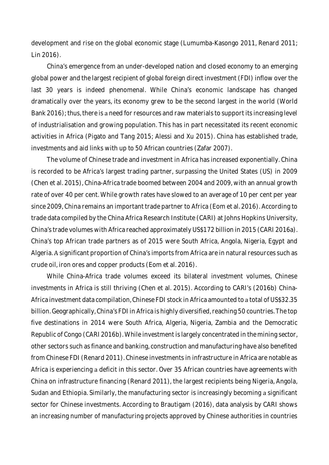development and rise on the global economic stage (Lumumba-Kasongo 2011, Renard 2011; Lin 2016).

China's emergence from an under-developed nation and closed economy to an emerging global power and the largest recipient of global foreign direct investment (FDI) inflow over the last 30 years is indeed phenomenal. While China's economic landscape has changed dramatically over the years, its economy grew to be the second largest in the world (World Bank 2016); thus, there is a need for resources and raw materials to support its increasing level of industrialisation and growing population. This has in part necessitated its recent economic activities in Africa (Pigato and Tang 2015; Alessi and Xu 2015). China has established trade, investments and aid links with up to 50 African countries (Zafar 2007).

The volume of Chinese trade and investment in Africa has increased exponentially. China is recorded to be Africa's largest trading partner, surpassing the United States (US) in 2009 (Chen et al. 2015), China-Africa trade boomed between 2004 and 2009, with an annual growth rate of over 40 per cent. While growth rates have slowed to an average of 10 per cent per year since 2009, China remains an important trade partner to Africa (Eom et al. 2016). According to trade data compiled by the China Africa Research Institute (CARI) at Johns Hopkins University, China's trade volumes with Africa reached approximately US\$172 billion in 2015 (CARI 2016a). China's top African trade partners as of 2015 were South Africa, Angola, Nigeria, Egypt and Algeria.  $A$  significant proportion of China's imports from Africa are in natural resources such as crude oil, iron ores and copper products (Eom et al. 2016).

While China-Africa trade volumes exceed its bilateral investment volumes, Chinese investments in Africa is still thriving (Chen et al. 2015). According to CARI's (2016b) China-Africa investment data compilation, Chinese FDI stock in Africa amounted to a total of US\$32.35 billion. Geographically, China's FDI in Africa is highly diversified, reaching 50 countries. The top five destinations in 2014 were South Africa, Algeria, Nigeria, Zambia and the Democratic Republic of Congo (CARI 2016b). While investment is largely concentrated in the mining sector, other sectors such as finance and banking, construction and manufacturing have also benefited from Chinese FDI (Renard 2011). Chinese investments in infrastructure in Africa are notable as Africa is experiencing a deficit in this sector. Over 35 African countries have agreements with China on infrastructure financing (Renard 2011), the largest recipients being Nigeria, Angola, Sudan and Ethiopia. Similarly, the manufacturing sector is increasingly becoming a significant sector for Chinese investments. According to Brautigam (2016), data analysis by CARI shows an increasing number of manufacturing projects approved by Chinese authorities in countries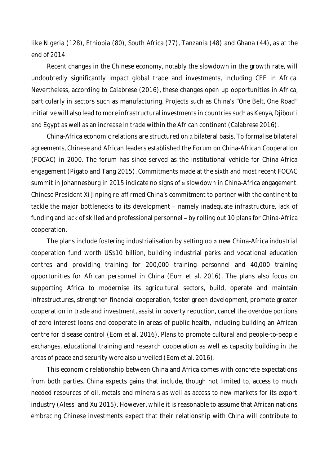like Nigeria (128), Ethiopia (80), South Africa (77), Tanzania (48) and Ghana (44), as at the end of 2014.

Recent changes in the Chinese economy, notably the slowdown in the growth rate, will undoubtedly significantly impact global trade and investments, including CEE in Africa. Nevertheless, according to Calabrese (2016), these changes open up opportunities in Africa, particularly in sectors such as manufacturing. Projects such as China's "One Belt, One Road" initiative will also lead to more infrastructural investments in countries such as Kenya, Djibouti and Egypt as well as an increase in trade within the African continent (Calabrese 2016).

China-Africa economic relations are structured on a bilateral basis. To formalise bilateral agreements, Chinese and African leaders established the Forum on China-African Cooperation (FOCAC) in 2000. The forum has since served as the institutional vehicle for China-Africa engagement (Pigato and Tang 2015). Commitments made at the sixth and most recent FOCAC summit in Johannesburg in 2015 indicate no signs of a slowdown in China-Africa engagement. Chinese President Xi Jinping re-affirmed China's commitment to partner with the continent to tackle the major bottlenecks to its development - namely inadequate infrastructure, lack of funding and lack of skilled and professional personnel – by rolling out 10 plans for China-Africa cooperation.

The plans include fostering industrialisation by setting up a new China-Africa industrial cooperation fund worth US\$10 billion, building industrial parks and vocational education centres and providing training for 200,000 training personnel and 40,000 training opportunities for African personnel in China (Eom et al. 2016). The plans also focus on supporting Africa to modernise its agricultural sectors, build, operate and maintain infrastructures, strengthen financial cooperation, foster green development, promote greater cooperation in trade and investment, assist in poverty reduction, cancel the overdue portions of zero-interest loans and cooperate in areas of public health, including building an African centre for disease control (Eom et al. 2016). Plans to promote cultural and people-to-people exchanges, educational training and research cooperation as well as capacity building in the areas of peace and security were also unveiled (Eom et al. 2016).

This economic relationship between China and Africa comes with concrete expectations from both parties. China expects gains that include, though not limited to, access to much needed resources of oil, metals and minerals as well as access to new markets for its export industry (Alessi and Xu 2015). However, while it is reasonable to assume that African nations embracing Chinese investments expect that their relationship with China will contribute to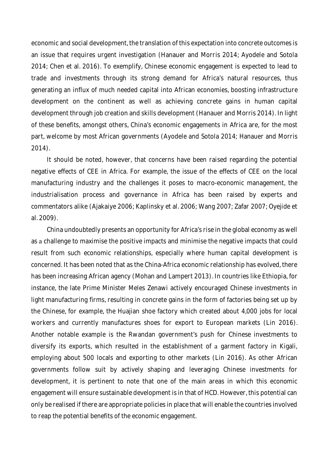economic and social development, the translation of this expectation into concrete outcomes is an issue that requires urgent investigation (Hanauer and Morris 2014; Ayodele and Sotola 2014; Chen et al. 2016). To exemplify, Chinese economic engagement is expected to lead to trade and investments through its strong demand for Africa's natural resources, thus generating an influx of much needed capital into African economies, boosting infrastructure development on the continent as well as achieving concrete gains in human capital development through job creation and skills development (Hanauer and Morris 2014). In light of these benefits, amongst others, China's economic engagements in Africa are, for the most part, welcome by most African governments (Ayodele and Sotola 2014; Hanauer and Morris 2014).

It should be noted, however, that concerns have been raised regarding the potential negative effects of CEE in Africa. For example, the issue of the effects of CEE on the local manufacturing industry and the challenges it poses to macro-economic management, the industrialisation process and governance in Africa has been raised by experts and commentators alike (Ajakaiye 2006; Kaplinsky et al. 2006; Wang 2007; Zafar 2007; Oyejide et al. 2009).

China undoubtedly presents an opportunity for Africa's rise in the global economy as well as a challenge to maximise the positive impacts and minimise the negative impacts that could result from such economic relationships, especially where human capital development is concerned. It has been noted that as the China-Africa economic relationship has evolved, there has been increasing African agency (Mohan and Lampert 2013). In countries like Ethiopia, for instance, the late Prime Minister Meles Zenawi actively encouraged Chinese investments in light manufacturing firms, resulting in concrete gains in the form of factories being set up by the Chinese, for example, the Huajian shoe factory which created about 4,000 jobs for local workers and currently manufactures shoes for export to European markets (Lin 2016). Another notable example is the Rwandan government's push for Chinese investments to diversify its exports, which resulted in the establishment of a garment factory in Kigali, employing about 500 locals and exporting to other markets (Lin 2016). As other African governments follow suit by actively shaping and leveraging Chinese investments for development, it is pertinent to note that one of the main areas in which this economic engagement will ensure sustainable development is in that of HCD. However, this potential can only be realised if there are appropriate policies in place that will enable the countries involved to reap the potential benefits of the economic engagement.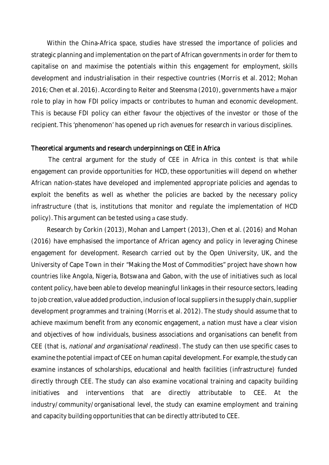Within the China-Africa space, studies have stressed the importance of policies and strategic planning and implementation on the part of African governments in order for them to capitalise on and maximise the potentials within this engagement for employment, skills development and industrialisation in their respective countries (Morris et al. 2012; Mohan 2016; Chen et al. 2016). According to Reiter and Steensma (2010), governments have a major role to play in how FDI policy impacts or contributes to human and economic development. This is because FDI policy can either favour the objectives of the investor or those of the recipient. This 'phenomenon' has opened up rich avenues for research in various disciplines.

### Theoretical arguments and research underpinnings on CEE in Africa

The central argument for the study of CEE in Africa in this context is that while engagement can provide opportunities for HCD, these opportunities will depend on whether African nation-states have developed and implemented appropriate policies and agendas to exploit the benefits as well as whether the policies are backed by the necessary policy infrastructure (that is, institutions that monitor and regulate the implementation of HCD policy). This argument can be tested using a case study.

Research by Corkin (2013), Mohan and Lampert (2013), Chen et al. (2016) and Mohan (2016) have emphasised the importance of African agency and policy in leveraging Chinese engagement for development. Research carried out by the Open University, UK, and the University of Cape Town in their "Making the Most of Commodities" project have shown how countries like Angola, Nigeria, Botswana and Gabon, with the use of initiatives such as local content policy, have been able to develop meaningful linkages in their resource sectors, leading to job creation, value added production, inclusion of local suppliers in the supply chain, supplier development programmes and training (Morris et al. 2012). The study should assume that to achieve maximum benefit from any economic engagement, a nation must have a clear vision and objectives of how individuals, business associations and organisations can benefit from CEE (that is, national and organisational readiness). The study can then use specific cases to examine the potential impact of CEE on human capital development. For example, the study can examine instances of scholarships, educational and health facilities (infrastructure) funded directly through CEE. The study can also examine vocational training and capacity building initiatives and interventions that are directly attributable to CEE. At the industry/community/organisational level, the study can examine employment and training and capacity building opportunities that can be directly attributed to CEE.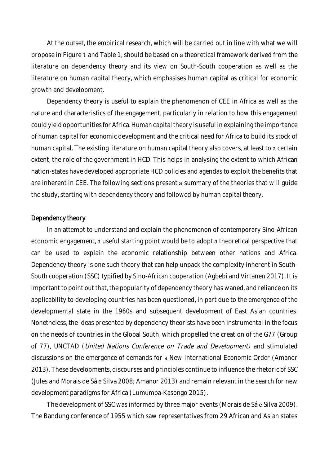At the outset, the empirical research, which will be carried out in line with what we will propose in Figure 1 and Table 1, should be based on a theoretical framework derived from the literature on dependency theory and its view on South-South cooperation as well as the literature on human capital theory, which emphasises human capital as critical for economic growth and development.

Dependency theory is useful to explain the phenomenon of CEE in Africa as well as the nature and characteristics of the engagement, particularly in relation to how this engagement could yield opportunities for Africa.Human capital theory is useful in explaining the importance of human capital for economic development and the critical need for Africa to build its stock of human capital. The existing literature on human capital theory also covers, at least to a certain extent, the role of the government in HCD. This helps in analysing the extent to which African nation-states have developed appropriate HCD policies and agendas to exploit the benefits that are inherent in CEE. The following sections present a summary of the theories that will guide the study, starting with dependency theory and followed by human capital theory.

#### Dependency theory

In an attempt to understand and explain the phenomenon of contemporary Sino-African economic engagement, a useful starting point would be to adopt a theoretical perspective that can be used to explain the economic relationship between other nations and Africa. Dependency theory is one such theory that can help unpack the complexity inherent in South-South cooperation (SSC) typified by Sino-African cooperation (Agbebi and Virtanen 2017). It is important to point out that, the popularity of dependency theory has waned, and reliance on its applicability to developing countries has been questioned, in part due to the emergence of the developmental state in the 1960s and subsequent development of East Asian countries. Nonetheless, the ideas presented by dependency theorists have been instrumental in the focus on the needs of countries in the Global South, which propelled the creation of the G77 (Group of 77), UNCTAD (United Nations Conference on Trade and Development) and stimulated discussions on the emergence of demands for a New International Economic Order (Amanor 2013). These developments, discourses and principles continue to influence the rhetoric of SSC (Jules and Morais de Sá  $e$  Silva 2008; Amanor 2013) and remain relevant in the search for new development paradigms for Africa (Lumumba-Kasongo 2015).

The development of SSC was informed by three maior events (Morais de Sá  $e$  Silva 2009). The Bandung conference of 1955 which saw representatives from 29 African and Asian states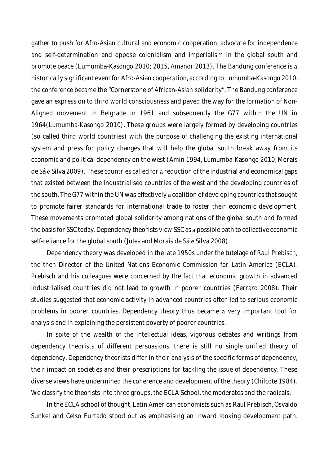gather to push for Afro-Asian cultural and economic cooperation, advocate for independence and self-determination and oppose colonialism and imperialism in the global south and promote peace (Lumumba-Kasongo 2010; 2015, Amanor 2013). The Bandung conference is historically significant event for Afro-Asian cooperation, according to Lumumba-Kasongo 2010, the conference became the "Cornerstone of African-Asian solidarity". The Bandung conference gave an expression to third world consciousness and paved the way for the formation of Non-Aligned movement in Belgrade in 1961 and subsequently the G77 within the UN in 1964(Lumumba-Kasongo 2010). These groups were largely formed by developing countries (so called third world countries) with the purpose of challenging the existing international system and press for policy changes that will help the global south break away from its economic and political dependency on the west (Amin 1994, Lumumba-Kasongo 2010, Morais de Sá e Silva 2009). These countries called for a reduction of the industrial and economical gaps that existed between the industrialised countries of the west and the developing countries of the south. The G77 within the UN was effectively a coalition of developing countries that sought to promote fairer standards for international trade to foster their economic development. These movements promoted global solidarity among nations of the global south and formed the basis for SSC today. Dependency theorists view SSC as a possible path to collective economic self-reliance for the global south (Jules and Morais de Sá $\,$ e Silva 2008).

Dependency theory was developed in the late 1950s under the tutelage of Raul Prebisch, the then Director of the United Nations Economic Commission for Latin America (ECLA). Prebisch and his colleagues were concerned by the fact that economic growth in advanced industrialised countries did not lead to growth in poorer countries (Ferraro 2008). Their studies suggested that economic activity in advanced countries often led to serious economic problems in poorer countries. Dependency theory thus became a very important tool for analysis and in explaining the persistent poverty of poorer countries.

In spite of the wealth of the intellectual ideas, vigorous debates and writings from dependency theorists of different persuasions, there is still no single unified theory of dependency. Dependency theorists differ in their analysis of the specific forms of dependency, their impact on societies and their prescriptions for tackling the issue of dependency. These diverse views have undermined the coherence and development of the theory (Chilcote 1984). We classify the theorists into three groups, the ECLA School, the moderates and the radicals.

In the ECLA school of thought, Latin American economists such as Raul Prebisch, Osvaldo Sunkel and Celso Furtado stood out as emphasising an inward looking development path.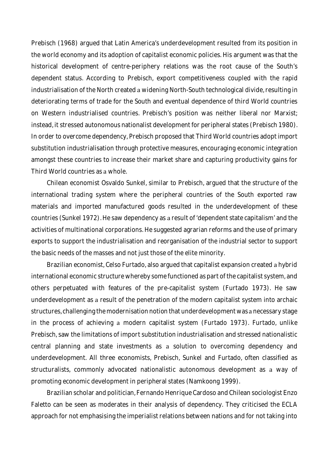Prebisch (1968) argued that Latin America's underdevelopment resulted from its position in the world economy and its adoption of capitalist economic policies. His argument was that the historical development of centre-periphery relations was the root cause of the South's dependent status. According to Prebisch, export competitiveness coupled with the rapid industrialisation of the North created a widening North-South technological divide, resulting in deteriorating terms of trade for the South and eventual dependence of third World countries on Western industrialised countries. Prebisch's position was neither liberal nor Marxist; instead, it stressed autonomous nationalist development for peripheral states (Prebisch 1980). In order to overcome dependency, Prebisch proposed that Third World countries adopt import substitution industrialisation through protective measures, encouraging economic integration amongst these countries to increase their market share and capturing productivity gains for Third World countries as a whole.

Chilean economist Osvaldo Sunkel, similar to Prebisch, argued that the structure of the international trading system where the peripheral countries of the South exported raw materials and imported manufactured goods resulted in the underdevelopment of these countries (Sunkel 1972). He saw dependency as a result of 'dependent state capitalism' and the activities of multinational corporations. He suggested agrarian reforms and the use of primary exports to support the industrialisation and reorganisation of the industrial sector to support the basic needs of the masses and not just those of the elite minority.

Brazilian economist, Celso Furtado, also argued that capitalist expansion created a hybrid international economic structure whereby some functioned as part of the capitalist system, and others perpetuated with features of the pre-capitalist system (Furtado 1973). He saw underdevelopment as a result of the penetration of the modern capitalist system into archaic structures, challenging the modernisation notion that underdevelopment was a necessary stage in the process of achieving a modern capitalist system (Furtado 1973). Furtado, unlike Prebisch, saw the limitations of import substitution industrialisation and stressed nationalistic central planning and state investments as solution to overcoming dependency and underdevelopment. All three economists, Prebisch, Sunkel and Furtado, often classified as structuralists, commonly advocated nationalistic autonomous development as a way of promoting economic development in peripheral states (Namkoong 1999).

Brazilian scholar and politician, Fernando Henrique Cardoso and Chilean sociologist Enzo Faletto can be seen as moderates in their analysis of dependency. They criticised the ECLA approach for not emphasising the imperialist relations between nations and for not taking into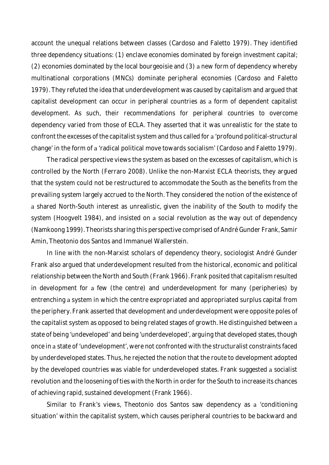account the unequal relations between classes (Cardoso and Faletto 1979). They identified three dependency situations: (1) enclave economies dominated by foreign investment capital; (2) economies dominated by the local bourgeoisie and (3)  $a$  new form of dependency whereby multinational corporations (MNCs) dominate peripheral economies (Cardoso and Faletto 1979). They refuted the idea that underdevelopment was caused by capitalism and argued that capitalist development can occur in peripheral countries as  $a$  form of dependent capitalist development. As such, their recommendations for peripheral countries to overcome dependency varied from those of ECLA. They asserted that it was unrealistic for the state to confront the excesses of the capitalist system and thus called for a 'profound political-structural change' in the form of  $a$  'radical political move towards socialism' (Cardoso and Faletto 1979).

The radical perspective views the system as based on the excesses of capitalism, which is controlled by the North (Ferraro 2008). Unlike the non-Marxist ECLA theorists, they argued that the system could not be restructured to accommodate the South as the benefits from the prevailing system largely accrued to the North. They considered the notion of the existence of  $a$  shared North-South interest as unrealistic, given the inability of the South to modify the system (Hoogvelt 1984), and insisted on a social revolution as the way out of dependency (Namkoong 1999). Theorists sharing this perspective comprised of André Gunder Frank, Samir Amin, Theotonio dos Santos and Immanuel Wallerstein.

In line with the non-Marxist scholars of dependency theory, sociologist André Gunder Frank also argued that underdevelopment resulted from the historical, economic and political relationship between the North and South (Frank 1966). Frank posited that capitalism resulted in development for a few (the centre) and underdevelopment for many (peripheries) by entrenching a system in which the centre expropriated and appropriated surplus capital from the periphery. Frank asserted that development and underdevelopment were opposite poles of the capitalist system as opposed to being related stages of growth. He distinguished between a state of being 'undeveloped' and being 'underdeveloped', arguing that developed states, though once in a state of 'undevelopment', were not confronted with the structuralist constraints faced by underdeveloped states. Thus, he rejected the notion that the route to development adopted by the developed countries was viable for underdeveloped states. Frank suggested a socialist revolution and the loosening of ties with the North in order for theSouth to increase its chances of achieving rapid, sustained development (Frank 1966).

Similar to Frank's views, Theotonio dos Santos saw dependency as 'conditioning situation' within the capitalist system, which causes peripheral countries to be backward and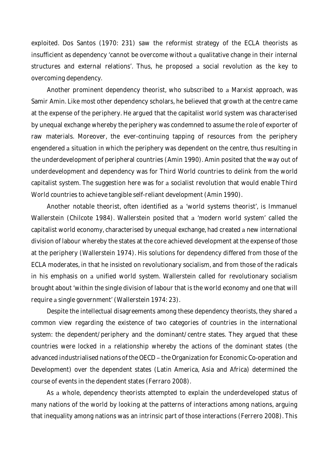exploited. Dos Santos (1970: 231) saw the reformist strategy of the ECLA theorists as insufficient as dependency 'cannot be overcome without a qualitative change in their internal structures and external relations'. Thus, he proposed a social revolution as the key to overcoming dependency.

Another prominent dependency theorist, who subscribed to a Marxist approach, was Samir Amin. Like most other dependency scholars, he believed that growth at the centre came at the expense of the periphery. He argued that the capitalist world system was characterised by unequal exchange whereby the periphery was condemned to assume the role of exporter of raw materials. Moreover, the ever-continuing tapping of resources from the periphery engendered a situation in which the periphery was dependent on the centre, thus resulting in the underdevelopment of peripheral countries (Amin 1990). Amin posited that the way out of underdevelopment and dependency was for Third World countries to delink from the world capitalist system. The suggestion here was for a socialist revolution that would enable Third World countries to achieve tangible self-reliant development (Amin 1990).

Another notable theorist, often identified as 'world systems theorist', is Immanuel Wallerstein (Chilcote 1984). Wallerstein posited that a 'modern world system' called the capitalist world economy, characterised by unequal exchange, had created a new international division of labour whereby the states at the core achieved development at the expense of those at the periphery (Wallerstein 1974). His solutions for dependency differed from those of the ECLA moderates, in that he insisted on revolutionary socialism, and from those of the radicals in his emphasis on a unified world system. Wallerstein called for revolutionary socialism brought about 'within the single division of labour that is the world economy and one that will require a single government' (Wallerstein 1974: 23).

Despite the intellectual disagreements among these dependency theorists, they shared a common view regarding the existence of two categories of countries in the international system: the dependent/periphery and the dominant/centre states. They argued that these countries were locked in a relationship whereby the actions of the dominant states (the advanced industrialised nations of the OECD - the Organization for Economic Co-operation and Development) over the dependent states (Latin America, Asia and Africa) determined the course of events in the dependent states (Ferraro 2008).

As a whole, dependency theorists attempted to explain the underdeveloped status of many nations of the world by looking at the patterns of interactions among nations, arguing that inequality among nations was an intrinsic part of those interactions (Ferrero 2008). This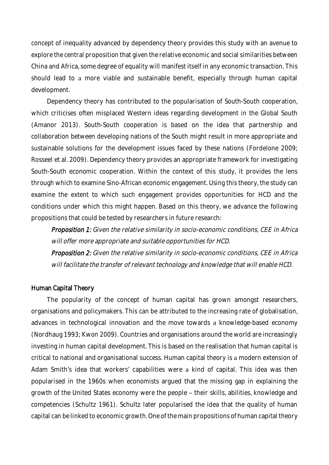concept of inequality advanced by dependency theory provides this study with an avenue to explore the central proposition that given the relative economic and social similarities between China and Africa, some degree of equality will manifest itself in any economic transaction. This should lead to a more viable and sustainable benefit, especially through human capital development.

Dependency theory has contributed to the popularisation of South-South cooperation, which criticises often misplaced Western ideas regarding development in the Global South (Amanor 2013). South-South cooperation is based on the idea that partnership and collaboration between developing nations of the South might result in more appropriate and sustainable solutions for the development issues faced by these nations (Fordelone 2009; Rosseel et al. 2009). Dependency theory provides an appropriate framework for investigating South-South economic cooperation. Within the context of this study, it provides the lens through which to examine Sino-African economic engagement. Using this theory, the study can examine the extent to which such engagement provides opportunities for HCD and the conditions under which this might happen. Based on this theory, we advance the following propositions that could be tested by researchers in future research:

Proposition 1: Given the relative similarity in socio-economic conditions, CEE in Africa will offer more appropriate and suitable opportunities for HCD.

Proposition 2: Given the relative similarity in socio-economic conditions, CEE in Africa will facilitate the transfer of relevant technology and knowledge that will enable HCD.

### **Human Capital Theory**

The popularity of the concept of human capital has grown amongst researchers, organisations and policymakers. This can be attributed to the increasing rate of globalisation, advances in technological innovation and the move towards a knowledge-based economy (Nordhaug 1993; Kwon 2009). Countries and organisations around the world are increasingly investing in human capital development. This is based on the realisation that human capital is critical to national and organisational success. Human capital theory is a modern extension of Adam Smith's idea that workers' capabilities were a kind of capital. This idea was then popularised in the 1960s when economists argued that the missing gap in explaining the growth of the United States economy were the people – their skills, abilities, knowledge and competencies (Schultz 1961). Schultz later popularised the idea that the quality of human capital can be linked to economic growth. One of the main propositions of human capital theory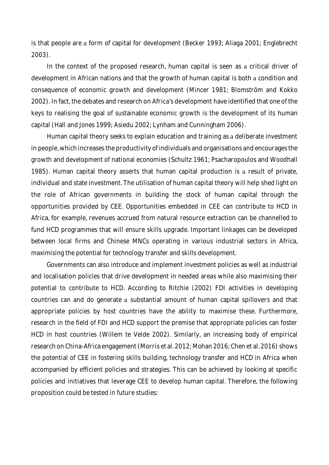is that people are a form of capital for development (Becker 1993; Aliaga 2001; Englebrecht 2003).

In the context of the proposed research, human capital is seen as a critical driver of development in African nations and that the growth of human capital is both a condition and consequence of economic growth and development (Mincer 1981; Blomström and Kokko 2002). In fact, the debates and research on Africa's development have identified that one of the keys to realising the goal of sustainable economic growth is the development of its human capital (Hall and Jones 1999; Asiedu 2002; Lynham and Cunningham 2006).

Human capital theory seeks to explain education and training as a deliberate investment in people, which increases the productivity of individuals and organisations and encourages the growth and development of national economies (Schultz 1961; Psacharopoulos and Woodhall 1985). Human capital theory asserts that human capital production is a result of private, individual and state investment. The utilisation of human capital theory will help shed light on the role of African governments in building the stock of human capital through the opportunities provided by CEE. Opportunities embedded in CEE can contribute to HCD in Africa, for example, revenues accrued from natural resource extraction can be channelled to fund HCD programmes that will ensure skills upgrade. Important linkages can be developed between local firms and Chinese MNCs operating in various industrial sectors in Africa, maximising the potential for technology transfer and skills development.

Governments can also introduce and implement investment policies as well as industrial and localisation policies that drive development in needed areas while also maximising their potential to contribute to HCD. According to Ritchie (2002) FDI activities in developing countries can and do generate  $a$  substantial amount of human capital spillovers and that appropriate policies by host countries have the ability to maximise these. Furthermore, research in the field of FDI and HCD support the premise that appropriate policies can foster HCD in host countries (Willem te Velde 2002). Similarly, an increasing body of empirical research on China-Africa engagement (Morris et al. 2012; Mohan 2016; Chen et al. 2016) shows the potential of CEE in fostering skills building, technology transfer and HCD in Africa when accompanied by efficient policies and strategies. This can be achieved by looking at specific policies and initiatives that leverage CEE to develop human capital. Therefore, the following proposition could be tested in future studies: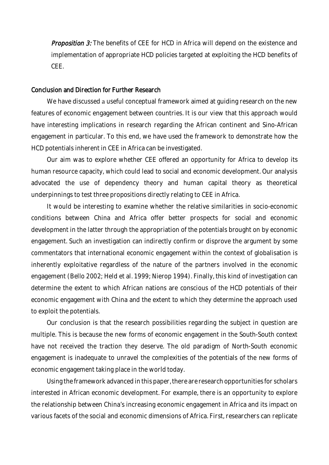**Proposition 3:** The benefits of CEE for HCD in Africa will depend on the existence and implementation of appropriate HCD policies targeted at exploiting the HCD benefits of CEE.

#### **Conclusion and Direction for Further Research**

We have discussed a useful conceptual framework aimed at guiding research on the new features of economic engagement between countries. It is our view that this approach would have interesting implications in research regarding the African continent and Sino-African engagement in particular. To this end, we have used the framework to demonstrate how the HCD potentials inherent in CEE in Africa can be investigated.

Our aim was to explore whether CEE offered an opportunity for Africa to develop its human resource capacity, which could lead to social and economic development. Our analysis advocated the use of dependency theory and human capital theory as theoretical underpinnings to test three propositions directly relating to CEE in Africa.

It would be interesting to examine whether the relative similarities in socio-economic conditions between China and Africa offer better prospects for social and economic development in the latter through the appropriation of the potentials brought on by economic engagement. Such an investigation can indirectly confirm or disprove the argument by some commentators that international economic engagement within the context of globalisation is inherently exploitative regardless of the nature of the partners involved in the economic engagement (Bello 2002; Held et al. 1999; Nierop 1994). Finally, this kind of investigation can determine the extent to which African nations are conscious of the HCD potentials of their economic engagement with China and the extent to which they determine the approach used to exploit the potentials.

Our conclusion is that the research possibilities regarding the subject in question are multiple. This is because the new forms of economic engagement in the South-South context have not received the traction they deserve. The old paradigm of North-South economic engagement is inadequate to unravel the complexities of the potentials of the new forms of economic engagement taking place in the world today.

Using the framework advanced in this paper,there are research opportunities for scholars interested in African economic development. For example, there is an opportunity to explore the relationship between China's increasing economic engagement in Africa and its impact on various facets of the social and economic dimensions of Africa. First, researchers can replicate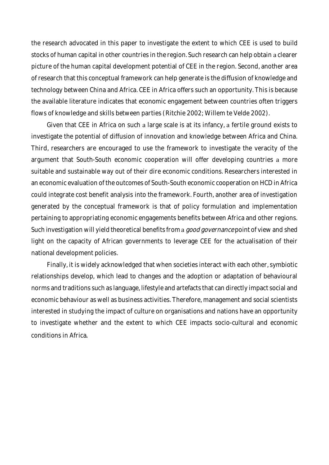the research advocated in this paper to investigate the extent to which CEE is used to build stocks of human capital in other countries in the region. Such research can help obtain a clearer picture of the human capital development potential of CEE in the region. Second, another area of research that this conceptual framework can help generate is the diffusion of knowledge and technology between China and Africa. CEE in Africa offers such an opportunity. This is because the available literature indicates that economic engagement between countries often triggers flows of knowledge and skills between parties (Ritchie 2002; Willem te Velde 2002).

Given that CEE in Africa on such a large scale is at its infancy, a fertile ground exists to investigate the potential of diffusion of innovation and knowledge between Africa and China. Third, researchers are encouraged to use the framework to investigate the veracity of the argument that South-South economic cooperation will offer developing countries a more suitable and sustainable way out of their dire economic conditions. Researchers interested in an economic evaluation of the outcomes of South-South economic cooperation on HCD in Africa could integrate cost benefit analysis into the framework. Fourth, another area of investigation generated by the conceptual framework is that of policy formulation and implementation pertaining to appropriating economic engagements benefits between Africa and other regions. Such investigation will yield theoretical benefits from a good governance point of view and shed light on the capacity of African governments to leverage CEE for the actualisation of their national development policies.

Finally, it is widely acknowledged that when societies interact with each other, symbiotic relationships develop, which lead to changes and the adoption or adaptation of behavioural norms and traditions such as language, lifestyle and artefacts that can directly impact social and economic behaviour as well as business activities. Therefore, management and social scientists interested in studying the impact of culture on organisations and nations have an opportunity to investigate whether and the extent to which CEE impacts socio-cultural and economic conditions in Africa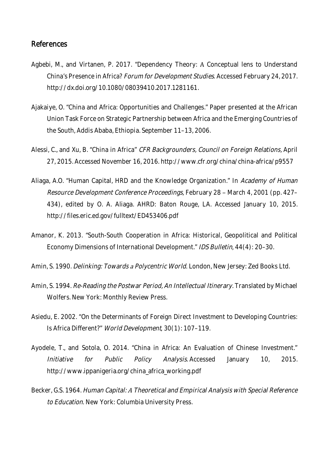### **References**

- Agbebi, M., and Virtanen, P. 2017. 'Dependency Theory:  $A$  Conceptual lens to Understand China's Presence in Africa? Forum for Development Studies Accessed February 24, 2017. http://dx.doi.org/10.1080/08039410.2017.1281161.
- Ajakaiye, O. "China and Africa: Opportunities and Challenges." Paper presented at the African Union Task Force on Strategic Partnership between Africa and the Emerging Countries of the South, Addis Ababa, Ethiopia. September 11–13, 2006.
- Alessi, C., and Xu, B. "China in Africa" CFR Backgrounders, Council on Foreign Relations, April 27, 2015. Accessed November 16, 2016. http://www.cfr.org/china/china-africa/p9557
- Aliaga, A.O. 'Human Capital, HRD and the Knowledge Organization." In Academy of Human Resource Development Conference Proceedings. February 28 - March 4, 2001 (pp. 427– 434), edited by O. A. Aliaga. AHRD: Baton Rouge, LA. Accessed January 10, 2015. http://files.eric.ed.gov/fulltext/ED453406.pdf
- Amanor, K. 2013. "South-South Cooperation in Africa: Historical, Geopolitical and Political Economy Dimensions of International Development." IDS Bulletin, 44(4): 20-30.
- Amin, S. 1990. *Delinking: Towards a Polycentric World*. London, New Jersey: Zed Books Ltd.
- Amin, S. 1994. Re-Reading the Postwar Period, An Intellectual Itinerary. Translated by Michael Wolfers. New York: Monthly Review Press.
- Asiedu, E. 2002. "On the Determinants of Foreign Direct Investment to Developing Countries: Is Africa Different?" World Development, 30(1): 107-119.
- Ayodele, T., and Sotola, O. 2014. "China in Africa: An Evaluation of Chinese Investment." Initiative for Public Policy Analysis. Accessed January 10, 2015. http://www.ippanigeria.org/china\_africa\_working.pdf
- Becker, G.S. 1964. Human Capital: A Theoretical and Empirical Analysis with Special Reference to Education. New York: Columbia University Press.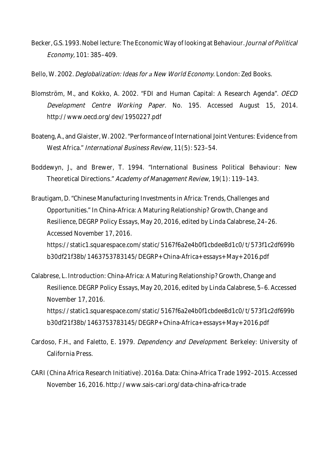Becker, G.S. 1993. Nobel lecture: The Economic Way of looking at Behaviour. Journal of Political Economy, 101: 385–409.

Bello, W. 2002. Deglobalization: Ideas for a New World Economy. London: Zed Books.

- Blomström, M., and Kokko, A. 2002. "FDI and Human Capital: A Research Agenda". OECD Development Centre Working Paper. No. 195. Accessed August 15, 2014. http://www.oecd.org/dev/1950227.pdf
- Boateng, A., and Glaister, W. 2002."Performance of International Joint Ventures: Evidence from West Africa." International Business Review. 11(5): 523-54.
- Boddewyn, J., and Brewer, T. 1994. "International Business Political Behaviour: New Theoretical Directions." Academy of Management Review. 19(1): 119-143.
- Brautigam, D. "Chinese Manufacturing Investments in Africa: Trends, Challenges and Opportunities." In China-Africa:  $A$  Maturing Relationship? Growth, Change and Resilience, DEGRP Policy Essays, May 20, 2016, edited by Linda Calabrese, 24–26. Accessed November 17, 2016. https://static1.squarespace.com/static/5167f6a2e4b0f1cbdee8d1c0/t/573f1c2df699b b30df21f38b/1463753783145/DEGRP+China-Africa+essays+May+2016.pdf
- Calabrese, L. Introduction: China-Africa:  $A$  Maturing Relationship? Growth, Change and Resilience. DEGRP Policy Essays, May 20, 2016, edited by Linda Calabrese, 5–6. Accessed November 17, 2016. https://static1.squarespace.com/static/5167f6a2e4b0f1cbdee8d1c0/t/573f1c2df699b b30df21f38b/1463753783145/DEGRP+China-Africa+essays+May+2016.pdf
- Cardoso, F.H., and Faletto, E. 1979. Dependency and Development. Berkeley: University of California Press.
- CARI (China Africa Research Initiative). 2016a. Data: China-Africa Trade 1992–2015. Accessed November 16, 2016. http://www.sais-cari.org/data-china-africa-trade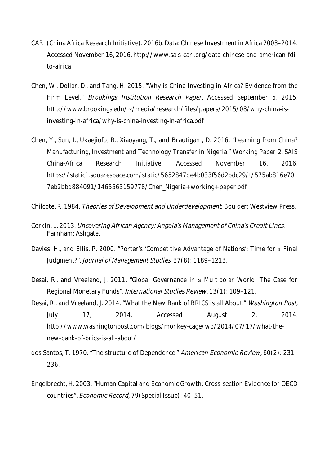- CARI (China Africa Research Initiative). 2016b. Data: Chinese Investment in Africa 2003–2014. Accessed November 16, 2016. http://www.sais-cari.org/data-chinese-and-american-fdito-africa
- Chen, W., Dollar, D., and Tang, H. 2015. "Why is China Investing in Africa? Evidence from the Firm Level." Brookings Institution Research Paper. Accessed September 5, 2015. http://www.brookings.edu/~/media/research/files/papers/2015/08/why-china-isinvesting-in-africa/why-is-china-investing-in-africa.pdf
- Chen, Y., Sun, I., Ukaejiofo, R., Xiaoyang, T., and Brautigam, D. 2016. "Learning from China? Manufacturing, Investment and Technology Transfer in Nigeria." Working Paper 2. SAIS China-Africa Research Initiative. Accessed November 16, 2016. https://static1.squarespace.com/static/5652847de4b033f56d2bdc29/t/575ab816e70 7eb2bbd884091/1465563159778/Chen\_Nigeria+working+paper.pdf
- Chilcote, R. 1984. *Theories of Development and Underdevelopment*. Boulder: Westview Press.
- Corkin, L. 2013. Uncovering African Agency: Angola's Management of China's Credit Lines. Farnham: Ashgate.
- Davies, H., and Ellis, P. 2000. 'Porter's 'Competitive Advantage of Nations': Time for a Final Judgment?". Journal of Management Studies 37(8): 1189-1213.
- Desai, R., and Vreeland, J. 2011. "Global Governance in Multipolar World: The Case for Regional Monetary Funds". *International Studies Review*, 13(1): 109–121.
- Desai, R., and Vreeland, J. 2014. "What the New Bank of BRICS is all About." Washington Post, July 17, 2014. Accessed August 2, 2014. http://www.washingtonpost.com/blogs/monkey-cage/wp/2014/07/17/what-thenew-bank-of-brics-is-all-about/
- dos Santos, T. 1970. "The structure of Dependence." American Economic Review, 60(2): 231– 236.
- Engelbrecht, H. 2003. "Human Capital and Economic Growth: Cross-section Evidence for OECD countries". Economic Record 79 (Special Issue): 40-51.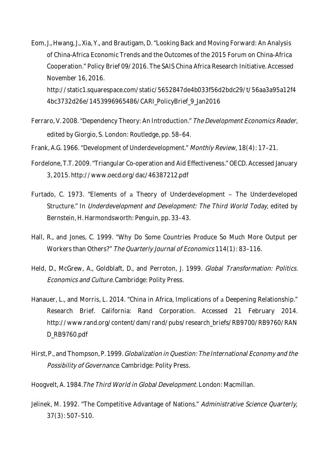Eom, J., Hwang, J., Xia, Y., and Brautigam, D. "Looking Back and Moving Forward: An Analysis of China-Africa Economic Trends and the Outcomes of the 2015 Forum on China-Africa Cooperation." Policy Brief 09/2016. The SAIS China Africa Research Initiative. Accessed November 16, 2016. http://static1.squarespace.com/static/5652847de4b033f56d2bdc29/t/56aa3a95a12f4

4bc3732d26e/1453996965486/CARI\_PolicyBrief\_9\_Jan2016

Ferraro, V. 2008. "Dependency Theory: An Introduction." The Development Economics Reader, edited by Giorgio, S. London: Routledge, pp. 58–64.

Frank, A.G. 1966. "Development of Underdevelopment." Monthly Review, 18(4): 17-21.

- Fordelone, T.T. 2009. "Triangular Co-operation and Aid Effectiveness." OECD. Accessed January 3, 2015. http://www.oecd.org/dac/46387212.pdf
- Furtado, C. 1973. 'Elements of a Theory of Underdevelopment The Underdeveloped Structure." In Underdevelopment and Development: The Third World Today, edited by Bernstein, H. Harmondsworth: Penguin, pp. 33–43.
- Hall, R., and Jones, C. 1999. "Why Do Some Countries Produce So Much More Output per Workers than Others?" The Quarterly Journal of Economics 114(1): 83–116.
- Held, D., McGrew, A., Goldblaft, D., and Perroton, J. 1999. Global Transformation: Politics. Economics and Culture. Cambridge: Polity Press.
- Hanauer, L., and Morris, L. 2014. "China in Africa, Implications of a Deepening Relationship." Research Brief. California: Rand Corporation. Accessed 21 February 2014. http://www.rand.org/content/dam/rand/pubs/research\_briefs/RB9700/RB9760/RAN D\_RB9760.pdf
- Hirst, P., and Thompson, P. 1999. Globalization in Question: The International Economy and the Possibility of Governance Cambridge: Polity Press.

Hoogvelt, A. 1984.The Third World in Global Development. London: Macmillan.

Jelinek, M. 1992. "The Competitive Advantage of Nations." Administrative Science Quarterly. 37(3): 507–510.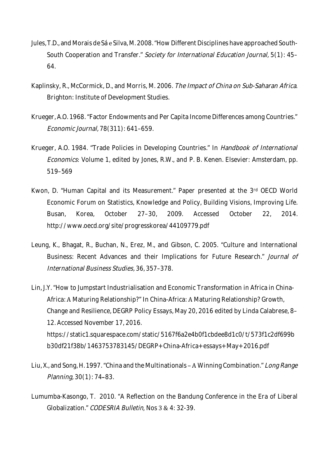- Jules, T.D., and Morais de Sá $e$  Silva, M. 2008. "How Different Disciplines have approached South-South Cooperation and Transfer." Society for International Education Journal, 5(1): 45-64.
- Kaplinsky, R., McCormick, D., and Morris, M. 2006. The Impact of China on Sub-Saharan Africa. Brighton: Institute of Development Studies.
- Krueger, A.O. 1968. "Factor Endowments and Per Capita Income Differences among Countries." Economic Journal, 78(311): 641–659.
- Krueger, A.O. 1984. "Trade Policies in Developing Countries." In Handbook of International Economics: Volume 1, edited by Jones, R.W., and P. B. Kenen. Elsevier: Amsterdam, pp. 519–569
- Kwon, D. "Human Capital and its Measurement." Paper presented at the 3rd OECD World Economic Forum on Statistics, Knowledge and Policy, Building Visions, Improving Life. Busan, Korea, October 27–30, 2009. Accessed October 22, 2014. http://www.oecd.org/site/progresskorea/44109779.pdf
- Leung, K., Bhagat, R., Buchan, N., Erez, M., and Gibson, C. 2005. "Culture and International Business: Recent Advances and their Implications for Future Research." Journal of International Business Studies,36,357–378.
- Lin, J.Y. "How to Jumpstart Industrialisation and Economic Transformation in Africa in China-Africa:  $A$  Maturing Relationship?" In China-Africa:  $A$  Maturing Relationship? Growth, Change and Resilience, DEGRP Policy Essays, May 20, 2016 edited by Linda Calabrese, 8– 12. Accessed November 17, 2016. https://static1.squarespace.com/static/5167f6a2e4b0f1cbdee8d1c0/t/573f1c2df699b b30df21f38b/1463753783145/DEGRP+China-Africa+essays+May+2016.pdf
- Liu, X., and Song, H. 1997. "China and the Multinationals  $A$  Winning Combination." Long Range Planning, 30(1): 74–83.
- Lumumba-Kasongo, T.2010. "A Reflection on the Bandung Conference in the Era of Liberal Globalization." CODESRIA Bulletin. Nos  $3\,8$  4: 32-39.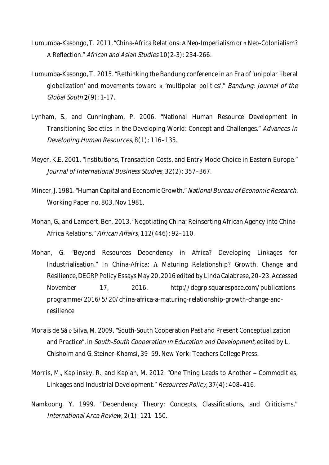- Lumumba-Kasongo, T. 2011. "China-Africa Relations: A Neo-Imperialism or a Neo-Colonialism? A Reflection." African and Asian Studies 10(2-3): 234-266.
- Lumumba-Kasongo, T.2015. "Rethinking the Bandung conference in an Era of 'unipolar liberal globalization' and movements toward a 'multipolar politics'." Bandung: Journal of the Global South 2(9): 1-17.
- Lynham, S., and Cunningham, P. 2006. "National Human Resource Development in Transitioning Societies in the Developing World: Concept and Challenges." Advances in Developing Human Resources, 8(1): 116–135.
- Meyer, K.E. 2001. "Institutions, Transaction Costs, and Entry Mode Choice in Eastern Europe." Journal of International Business Studies, 32(2): 357–367.
- Mincer, J. 1981."Human Capital and Economic Growth." National Bureau of Economic Research. Working Paper no. 803, Nov 1981.
- Mohan, G., and Lampert, Ben. 2013. "Negotiating China: Reinserting African Agency into China-Africa Relations." African Affairs, 112(446): 92–110.
- Mohan, G. "Beyond Resources Dependency in Africa? Developing Linkages for Industrialisation." In China-Africa: A Maturing Relationship? Growth, Change and Resilience, DEGRP Policy Essays May 20, 2016 edited by Linda Calabrese, 20–23. Accessed November 17, 2016. http://degrp.squarespace.com/publicationsprogramme/2016/5/20/china-africa-a-maturing-relationship-growth-change-andresilience
- Morais de Sá e Silva, M. 2009. 'South-South Cooperation Past and Present Conceptualization and Practice", in South-South Cooperation in Education and Development, edited by L. Chisholm and G. Steiner-Khamsi, 39–59. New York: Teachers College Press.
- Morris, M., Kaplinsky, R., and Kaplan, M. 2012. "One Thing Leads to Another Commodities, Linkages and Industrial Development." Resources Policy, 37(4): 408–416.
- Namkoong, Y. 1999. "Dependency Theory: Concepts, Classifications, and Criticisms." International Area Review, 2(1): 121-150.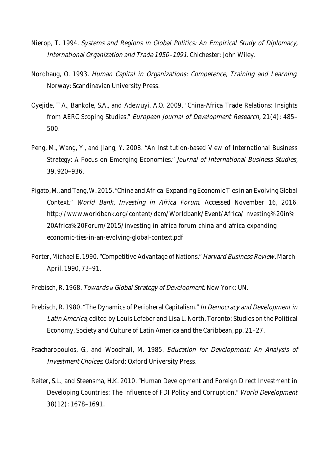- Nierop, T. 1994. Systems and Regions in Global Politics: An Empirical Study of Diplomacy, International Organization and Trade 1950-1991. Chichester: John Wiley.
- Nordhaug, O. 1993. *Human Capital in Organizations: Competence, Training and Learning* Norway: Scandinavian University Press.
- Oyejide, T.A., Bankole, S.A., and Adewuyi, A.O. 2009. "China-Africa Trade Relations: Insights from AERC Scoping Studies." European Journal of Development Research, 21(4): 485– 500.
- Peng, M., Wang, Y., and Jiang, Y. 2008."An Institution-based View of International Business Strategy: A Focus on Emerging Economies." Journal of International Business Studies, 39,920–936.
- Pigato, M., and Tang, W. 2015."China and Africa: Expanding Economic Ties in an Evolving Global Context." World Bank, Investing in Africa Forum Accessed November 16, 2016. http://www.worldbank.org/content/dam/Worldbank/Event/Africa/Investing%20in% 20Africa%20Forum/2015/investing-in-africa-forum-china-and-africa-expandingeconomic-ties-in-an-evolving-global-context.pdf
- Porter, Michael E. 1990. "Competitive Advantage of Nations." Harvard Business Review, March-April, 1990, 73–91.
- Prebisch, R. 1968. Towards a Global Strategy of Development. New York: UN.
- Prebisch, R. 1980. "The Dynamics of Peripheral Capitalism." In Democracy and Development in Latin America edited by Louis Lefeber and Lisa L. North. Toronto: Studies on the Political Economy, Society and Culture of Latin America and the Caribbean, pp. 21–27.
- Psacharopoulos, G., and Woodhall, M. 1985. Education for Development: An Analysis of **Investment Choices Oxford: Oxford University Press.**
- Reiter, S.L., and Steensma, H.K. 2010. "Human Development and Foreign Direct Investment in Developing Countries: The Influence of FDI Policy and Corruption." World Development 38(12): 1678–1691.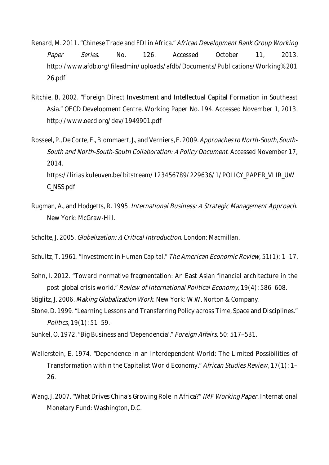- Renard, M. 2011. "Chinese Trade and FDI in Africa." African Development Bank Group Working *Paper Series*. No. 126. Accessed October 11, 2013. http://www.afdb.org/fileadmin/uploads/afdb/Documents/Publications/Working%201 26.pdf
- Ritchie, B. 2002. "Foreign Direct Investment and Intellectual Capital Formation in Southeast Asia." OECD Development Centre. Working Paper No. 194. Accessed November 1, 2013. http://www.oecd.org/dev/1949901.pdf
- Rosseel, P., De Corte, E., Blommaert, J., and Verniers, E. 2009. Approaches to North-South, South-South and North-South-South Collaboration: A Policy Document Accessed November 17, 2014. https://lirias.kuleuven.be/bitstream/123456789/229636/1/POLICY\_PAPER\_VLIR\_UW

C\_NSS.pdf

Rugman, A., and Hodgetts, R. 1995. *International Business: A Strategic Management Approach*. New York: McGraw-Hill.

Scholte, J. 2005. Globalization: A Critical Introduction. London: Macmillan.

Schultz, T. 1961. "Investment in Human Capital." The American Economic Review, 51(1): 1-17.

Sohn, I. 2012. "Toward normative fragmentation: An East Asian financial architecture in the post-global crisis world." Review of International Political Economy 19(4): 586–608.

Stiglitz, J. 2006. *Making Globalization Work.* New York: W.W. Norton & Company.

Stone, D. 1999. "Learning Lessons and Transferring Policy across Time, Space and Disciplines." Politics, 19(1): 51–59.

Sunkel, O. 1972. "Big Business and 'Dependencia'." Foreign Affairs, 50: 517–531.

- Wallerstein, E. 1974. "Dependence in an Interdependent World: The Limited Possibilities of Transformation within the Capitalist World Economy." African Studies Review, 17(1): 1– 26.
- Wang, J. 2007. "What Drives China's Growing Role in Africa?" IMF Working Paper. International Monetary Fund: Washington, D.C.